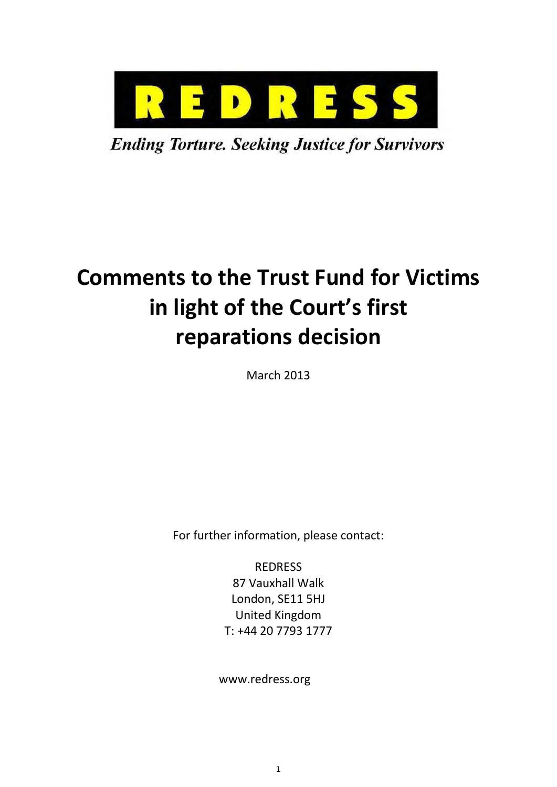

**Ending Torture. Seeking Justice for Survivors** 

# **Comments to the Trust Fund for Victims in light of the Court's first reparations decision**

March 2013

For further information, please contact:

REDRESS 87 Vauxhall Walk London, SE11 5HJ United Kingdom T: +44 20 7793 1777

www.redress.org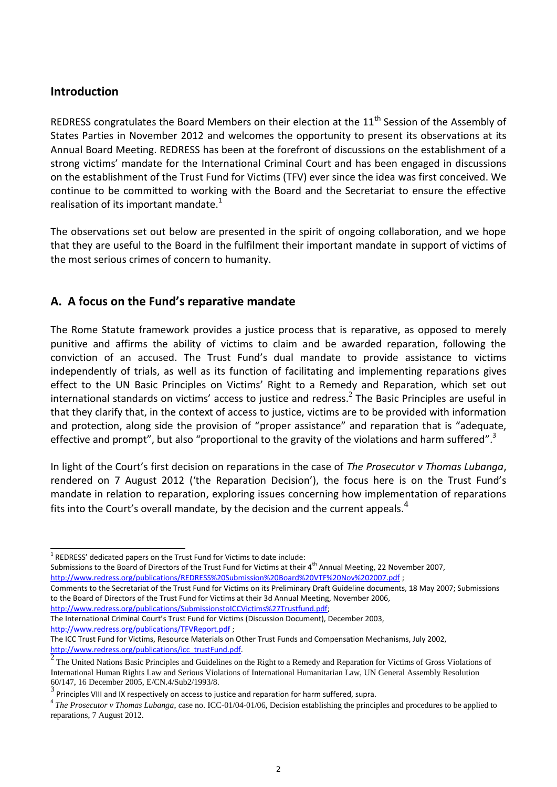# **Introduction**

-

REDRESS congratulates the Board Members on their election at the 11<sup>th</sup> Session of the Assembly of States Parties in November 2012 and welcomes the opportunity to present its observations at its Annual Board Meeting. REDRESS has been at the forefront of discussions on the establishment of a strong victims' mandate for the International Criminal Court and has been engaged in discussions on the establishment of the Trust Fund for Victims (TFV) ever since the idea was first conceived. We continue to be committed to working with the Board and the Secretariat to ensure the effective realisation of its important mandate. $1$ 

The observations set out below are presented in the spirit of ongoing collaboration, and we hope that they are useful to the Board in the fulfilment their important mandate in support of victims of the most serious crimes of concern to humanity.

# **A. A focus on the Fund's reparative mandate**

The Rome Statute framework provides a justice process that is reparative, as opposed to merely punitive and affirms the ability of victims to claim and be awarded reparation, following the conviction of an accused. The Trust Fund's dual mandate to provide assistance to victims independently of trials, as well as its function of facilitating and implementing reparations gives effect to the UN Basic Principles on Victims' Right to a Remedy and Reparation, which set out international standards on victims' access to justice and redress. $^2$  The Basic Principles are useful in that they clarify that, in the context of access to justice, victims are to be provided with information and protection, along side the provision of "proper assistance" and reparation that is "adequate, effective and prompt", but also "proportional to the gravity of the violations and harm suffered".<sup>3</sup>

In light of the Court's first decision on reparations in the case of *The Prosecutor v Thomas Lubanga*, rendered on 7 August 2012 ('the Reparation Decision'), the focus here is on the Trust Fund's mandate in relation to reparation, exploring issues concerning how implementation of reparations fits into the Court's overall mandate, by the decision and the current appeals.<sup>4</sup>

Submissions to the Board of Directors of the Trust Fund for Victims at their 4<sup>th</sup> Annual Meeting, 22 November 2007, <http://www.redress.org/publications/REDRESS%20Submission%20Board%20VTF%20Nov%202007.pdf> ;

[http://www.redress.org/publications/SubmissionstoICCVictims%27Trustfund.pdf;](http://www.redress.org/publications/SubmissionstoICCVictims%27Trustfund.pdf) 

The International Criminal Court's Trust Fund for Victims (Discussion Document), December 2003, <http://www.redress.org/publications/TFVReport.pdf> ;

 $1$  REDRESS' dedicated papers on the Trust Fund for Victims to date include:

Comments to the Secretariat of the Trust Fund for Victims on its Preliminary Draft Guideline documents, 18 May 2007; Submissions to the Board of Directors of the Trust Fund for Victims at their 3d Annual Meeting, November 2006,

The ICC Trust Fund for Victims, Resource Materials on Other Trust Funds and Compensation Mechanisms, July 2002, http://www.redress.org/publications/icc\_trustFund.pdf.

 $\overline{2}$ The United Nations Basic Principles and Guidelines on the Right to a Remedy and Reparation for Victims of Gross Violations of International Human Rights Law and Serious Violations of International Humanitarian Law, UN General Assembly Resolution 60/147, 16 December 2005, E/CN.4/Sub2/1993/8.

 $^3$  Principles VIII and IX respectively on access to justice and reparation for harm suffered, supra.

<sup>&</sup>lt;sup>4</sup> The Prosecutor v Thomas Lubanga, case no. ICC-01/04-01/06, Decision establishing the principles and procedures to be applied to reparations, 7 August 2012.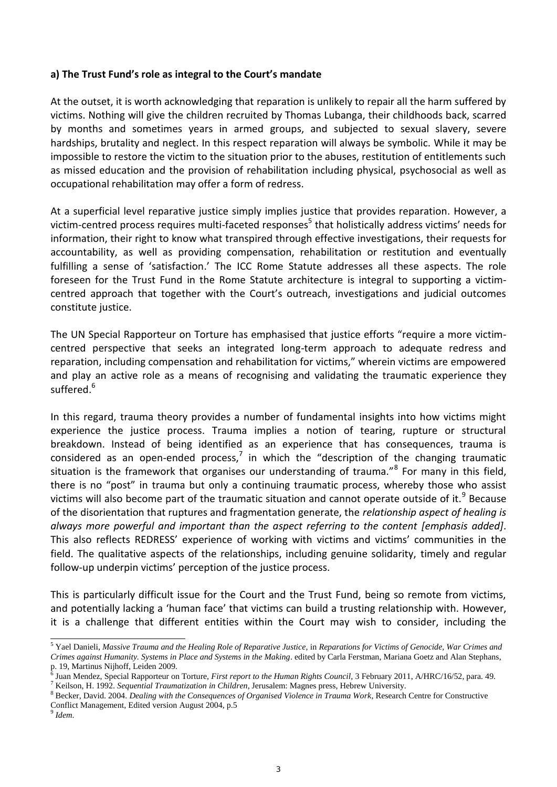#### **a) The Trust Fund's role as integral to the Court's mandate**

At the outset, it is worth acknowledging that reparation is unlikely to repair all the harm suffered by victims. Nothing will give the children recruited by Thomas Lubanga, their childhoods back, scarred by months and sometimes years in armed groups, and subjected to sexual slavery, severe hardships, brutality and neglect. In this respect reparation will always be symbolic. While it may be impossible to restore the victim to the situation prior to the abuses, restitution of entitlements such as missed education and the provision of rehabilitation including physical, psychosocial as well as occupational rehabilitation may offer a form of redress.

At a superficial level reparative justice simply implies justice that provides reparation. However, a victim-centred process requires multi-faceted responses<sup>5</sup> that holistically address victims' needs for information, their right to know what transpired through effective investigations, their requests for accountability, as well as providing compensation, rehabilitation or restitution and eventually fulfilling a sense of 'satisfaction.' The ICC Rome Statute addresses all these aspects. The role foreseen for the Trust Fund in the Rome Statute architecture is integral to supporting a victimcentred approach that together with the Court's outreach, investigations and judicial outcomes constitute justice.

The UN Special Rapporteur on Torture has emphasised that justice efforts "require a more victimcentred perspective that seeks an integrated long-term approach to adequate redress and reparation, including compensation and rehabilitation for victims," wherein victims are empowered and play an active role as a means of recognising and validating the traumatic experience they suffered.<sup>6</sup>

In this regard, trauma theory provides a number of fundamental insights into how victims might experience the justice process. Trauma implies a notion of tearing, rupture or structural breakdown. Instead of being identified as an experience that has consequences, trauma is considered as an open-ended process,<sup>7</sup> in which the "description of the changing traumatic situation is the framework that organises our understanding of trauma."<sup>8</sup> For many in this field, there is no "post" in trauma but only a continuing traumatic process, whereby those who assist victims will also become part of the traumatic situation and cannot operate outside of it.<sup>9</sup> Because of the disorientation that ruptures and fragmentation generate, the *relationship aspect of healing is always more powerful and important than the aspect referring to the content [emphasis added]*. This also reflects REDRESS' experience of working with victims and victims' communities in the field. The qualitative aspects of the relationships, including genuine solidarity, timely and regular follow-up underpin victims' perception of the justice process.

This is particularly difficult issue for the Court and the Trust Fund, being so remote from victims, and potentially lacking a 'human face' that victims can build a trusting relationship with. However, it is a challenge that different entities within the Court may wish to consider, including the

 5 Yael Danieli, *Massive Trauma and the Healing Role of Reparative Justice*, in *Reparations for Victims of Genocide, War Crimes and Crimes against Humanity. Systems in Place and Systems in the Making*. edited by Carla Ferstman, Mariana Goetz and Alan Stephans,

p. 19, Martinus Nijhoff, Leiden 2009. 6 Juan Mendez, Special Rapporteur on Torture, *First report to the Human Rights Council,* 3 February 2011, A/HRC/16/52, para. 49. 7 Keilson, H. 1992. *Sequential Traumatization in Children*, Jerusalem: Magnes press, Hebrew University.

<sup>8</sup> Becker, David. 2004. *Dealing with the Consequences of Organised Violence in Trauma Work*, Research Centre for Constructive Conflict Management, Edited version August 2004, p.5

<sup>9</sup> *Idem*.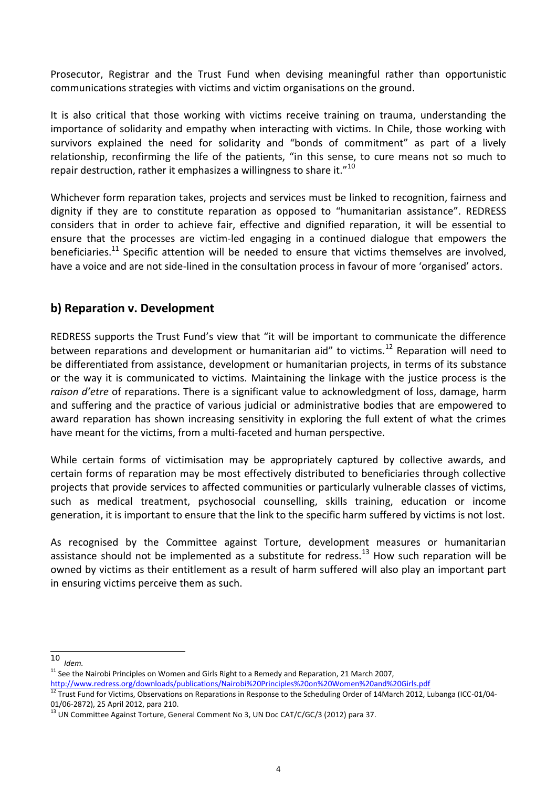Prosecutor, Registrar and the Trust Fund when devising meaningful rather than opportunistic communications strategies with victims and victim organisations on the ground.

It is also critical that those working with victims receive training on trauma, understanding the importance of solidarity and empathy when interacting with victims. In Chile, those working with survivors explained the need for solidarity and "bonds of commitment" as part of a lively relationship, reconfirming the life of the patients, "in this sense, to cure means not so much to repair destruction, rather it emphasizes a willingness to share it."<sup>10</sup>

Whichever form reparation takes, projects and services must be linked to recognition, fairness and dignity if they are to constitute reparation as opposed to "humanitarian assistance". REDRESS considers that in order to achieve fair, effective and dignified reparation, it will be essential to ensure that the processes are victim-led engaging in a continued dialogue that empowers the beneficiaries.<sup>11</sup> Specific attention will be needed to ensure that victims themselves are involved, have a voice and are not side-lined in the consultation process in favour of more 'organised' actors.

### **b) Reparation v. Development**

REDRESS supports the Trust Fund's view that "it will be important to communicate the difference between reparations and development or humanitarian aid" to victims.<sup>12</sup> Reparation will need to be differentiated from assistance, development or humanitarian projects, in terms of its substance or the way it is communicated to victims. Maintaining the linkage with the justice process is the *raison d'etre* of reparations. There is a significant value to acknowledgment of loss, damage, harm and suffering and the practice of various judicial or administrative bodies that are empowered to award reparation has shown increasing sensitivity in exploring the full extent of what the crimes have meant for the victims, from a multi-faceted and human perspective.

While certain forms of victimisation may be appropriately captured by collective awards, and certain forms of reparation may be most effectively distributed to beneficiaries through collective projects that provide services to affected communities or particularly vulnerable classes of victims, such as medical treatment, psychosocial counselling, skills training, education or income generation, it is important to ensure that the link to the specific harm suffered by victims is not lost.

As recognised by the Committee against Torture, development measures or humanitarian assistance should not be implemented as a substitute for redress.<sup>13</sup> How such reparation will be owned by victims as their entitlement as a result of harm suffered will also play an important part in ensuring victims perceive them as such.

-

<sup>10</sup> *Idem.*

 $11$  See the Nairobi Principles on Women and Girls Right to a Remedy and Reparation, 21 March 2007,

<http://www.redress.org/downloads/publications/Nairobi%20Principles%20on%20Women%20and%20Girls.pdf><br>12 -

<sup>12</sup> Trust Fund for Victims, Observations on Reparations in Response to the Scheduling Order of 14March 2012, Lubanga (ICC-01/04- 01/06-2872), 25 April 2012, para 210.

<sup>&</sup>lt;sup>13</sup> UN Committee Against Torture, General Comment No 3, UN Doc CAT/C/GC/3 (2012) para 37.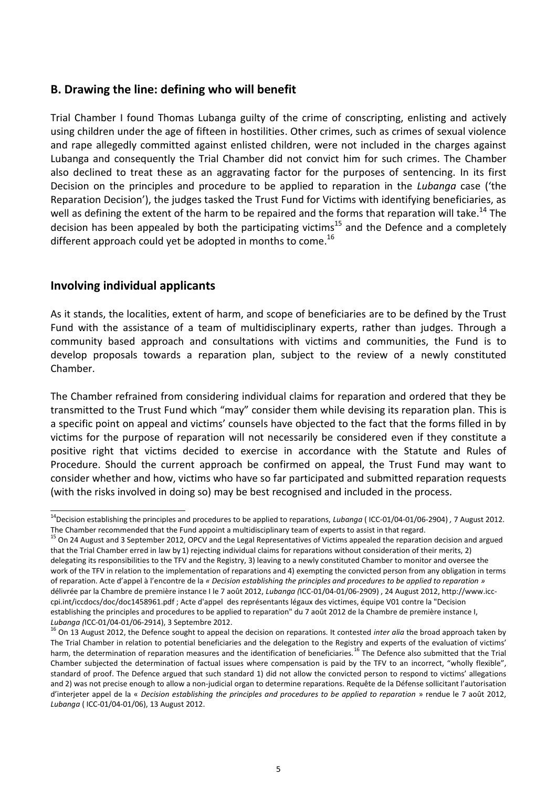### **B. Drawing the line: defining who will benefit**

Trial Chamber I found Thomas Lubanga guilty of the crime of conscripting, enlisting and actively using children under the age of fifteen in hostilities. Other crimes, such as crimes of sexual violence and rape allegedly committed against enlisted children, were not included in the charges against Lubanga and consequently the Trial Chamber did not convict him for such crimes. The Chamber also declined to treat these as an aggravating factor for the purposes of sentencing. In its first Decision on the principles and procedure to be applied to reparation in the *Lubanga* case ('the Reparation Decision'), the judges tasked the Trust Fund for Victims with identifying beneficiaries, as well as defining the extent of the harm to be repaired and the forms that reparation will take.<sup>14</sup> The decision has been appealed by both the participating victims<sup>15</sup> and the Defence and a completely different approach could yet be adopted in months to come.<sup>16</sup>

### **Involving individual applicants**

As it stands, the localities, extent of harm, and scope of beneficiaries are to be defined by the Trust Fund with the assistance of a team of multidisciplinary experts, rather than judges. Through a community based approach and consultations with victims and communities, the Fund is to develop proposals towards a reparation plan, subject to the review of a newly constituted Chamber.

The Chamber refrained from considering individual claims for reparation and ordered that they be transmitted to the Trust Fund which "may" consider them while devising its reparation plan. This is a specific point on appeal and victims' counsels have objected to the fact that the forms filled in by victims for the purpose of reparation will not necessarily be considered even if they constitute a positive right that victims decided to exercise in accordance with the Statute and Rules of Procedure. Should the current approach be confirmed on appeal, the Trust Fund may want to consider whether and how, victims who have so far participated and submitted reparation requests (with the risks involved in doing so) may be best recognised and included in the process.

 <sup>14</sup>Decision establishing the principles and procedures to be applied to reparations, *Lubanga* ( ICC-01/04-01/06-2904) *,* 7 August 2012. The Chamber recommended that the Fund appoint a multidisciplinary team of experts to assist in that regard.

<sup>&</sup>lt;sup>15</sup> On 24 August and 3 September 2012, OPCV and the Legal Representatives of Victims appealed the reparation decision and argued that the Trial Chamber erred in law by 1) rejecting individual claims for reparations without consideration of their merits, 2) delegating its responsibilities to the TFV and the Registry, 3) leaving to a newly constituted Chamber to monitor and oversee the work of the TFV in relation to the implementation of reparations and 4) exempting the convicted person from any obligation in terms of reparation. Acte d'appel à l'encontre de la *« Decision establishing the principles and procedures to be applied to reparation »* délivrée par la Chambre de première instance I le 7 août 2012, *Lubanga (*ICC-01/04-01/06-2909) , 24 August 2012[, http://www.icc](http://www.icc-cpi.int/iccdocs/doc/doc1458961.pdf)[cpi.int/iccdocs/doc/doc1458961.pdf ;](http://www.icc-cpi.int/iccdocs/doc/doc1458961.pdf) Acte d'appel des représentants légaux des victimes, équipe V01 contre la "Decision establishing the principles and procedures to be applied to reparation" du 7 août 2012 de la Chambre de première instance I, *Lubanga (*ICC-01/04-01/06-2914), 3 Septembre 2012.

<sup>16</sup> On 13 August 2012, the Defence sought to appeal the decision on reparations. It contested *inter alia* the broad approach taken by The Trial Chamber in relation to potential beneficiaries and the delegation to the Registry and experts of the evaluation of victims' harm, the determination of reparation measures and the identification of beneficiaries.<sup>16</sup> The Defence also submitted that the Trial Chamber subjected the determination of factual issues where compensation is paid by the TFV to an incorrect, "wholly flexible", standard of proof. The Defence argued that such standard 1) did not allow the convicted person to respond to victims' allegations and 2) was not precise enough to allow a non-judicial organ to determine reparations. Requête de la Défense sollicitant l'autorisation d'interjeter appel de la « *Decision establishing the principles and procedures to be applied to reparation* » rendue le 7 août 2012, *Lubanga* ( ICC‐01/04‐01/06), 13 August 2012.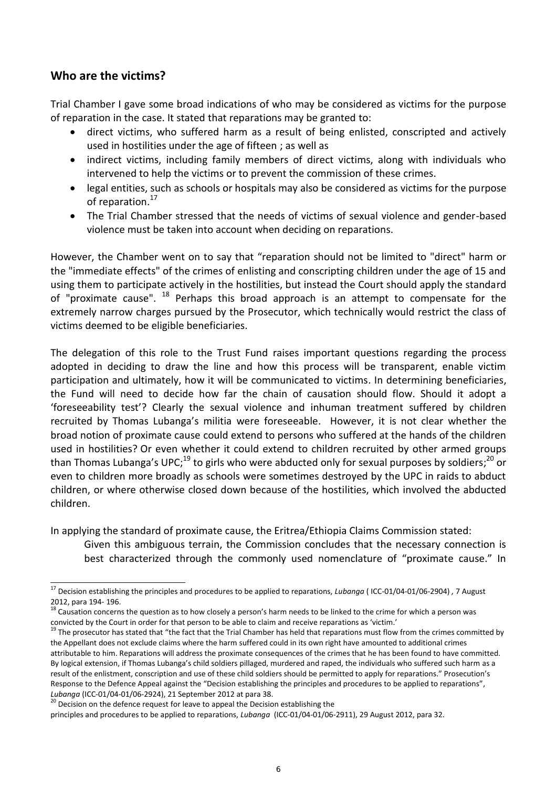# **Who are the victims?**

Trial Chamber I gave some broad indications of who may be considered as victims for the purpose of reparation in the case. It stated that reparations may be granted to:

- direct victims, who suffered harm as a result of being enlisted, conscripted and actively used in hostilities under the age of fifteen ; as well as
- indirect victims, including family members of direct victims, along with individuals who intervened to help the victims or to prevent the commission of these crimes.
- legal entities, such as schools or hospitals may also be considered as victims for the purpose of reparation.<sup>17</sup>
- The Trial Chamber stressed that the needs of victims of sexual violence and gender-based violence must be taken into account when deciding on reparations.

However, the Chamber went on to say that "reparation should not be limited to "direct" harm or the "immediate effects" of the crimes of enlisting and conscripting children under the age of 15 and using them to participate actively in the hostilities, but instead the Court should apply the standard of "proximate cause".  $^{18}$  Perhaps this broad approach is an attempt to compensate for the extremely narrow charges pursued by the Prosecutor, which technically would restrict the class of victims deemed to be eligible beneficiaries.

The delegation of this role to the Trust Fund raises important questions regarding the process adopted in deciding to draw the line and how this process will be transparent, enable victim participation and ultimately, how it will be communicated to victims. In determining beneficiaries, the Fund will need to decide how far the chain of causation should flow. Should it adopt a 'foreseeability test'? Clearly the sexual violence and inhuman treatment suffered by children recruited by Thomas Lubanga's militia were foreseeable. However, it is not clear whether the broad notion of proximate cause could extend to persons who suffered at the hands of the children used in hostilities? Or even whether it could extend to children recruited by other armed groups than Thomas Lubanga's UPC;<sup>19</sup> to girls who were abducted only for sexual purposes by soldiers;<sup>20</sup> or even to children more broadly as schools were sometimes destroyed by the UPC in raids to abduct children, or where otherwise closed down because of the hostilities, which involved the abducted children.

In applying the standard of proximate cause, the Eritrea/Ethiopia Claims Commission stated: Given this ambiguous terrain, the Commission concludes that the necessary connection is

best characterized through the commonly used nomenclature of "proximate cause." In

 <sup>17</sup> Decision establishing the principles and procedures to be applied to reparations, *Lubanga* ( ICC-01/04-01/06-2904) *,* 7 August 2012, para 194- 196.

<sup>18</sup> Causation concerns the question as to how closely a person's harm needs to be linked to the crime for which a person was convicted by the Court in order for that person to be able to claim and receive reparations as 'victim.'

<sup>&</sup>lt;sup>19</sup> The prosecutor has stated that "the fact that the Trial Chamber has held that reparations must flow from the crimes committed by the Appellant does not exclude claims where the harm suffered could in its own right have amounted to additional crimes attributable to him. Reparations will address the proximate consequences of the crimes that he has been found to have committed. By logical extension, if Thomas Lubanga's child soldiers pillaged, murdered and raped, the individuals who suffered such harm as a result of the enlistment, conscription and use of these child soldiers should be permitted to apply for reparations." Prosecution's Response to the Defence Appeal against the "Decision establishing the principles and procedures to be applied to reparations", *Lubanga* (ICC-01/04-01/06-2924), 21 September 2012 at para 38.

<sup>&</sup>lt;sup>20</sup> Decision on the defence request for leave to appeal the Decision establishing the

principles and procedures to be applied to reparations, *Lubanga* (ICC-01/04-01/06-2911), 29 August 2012, para 32.